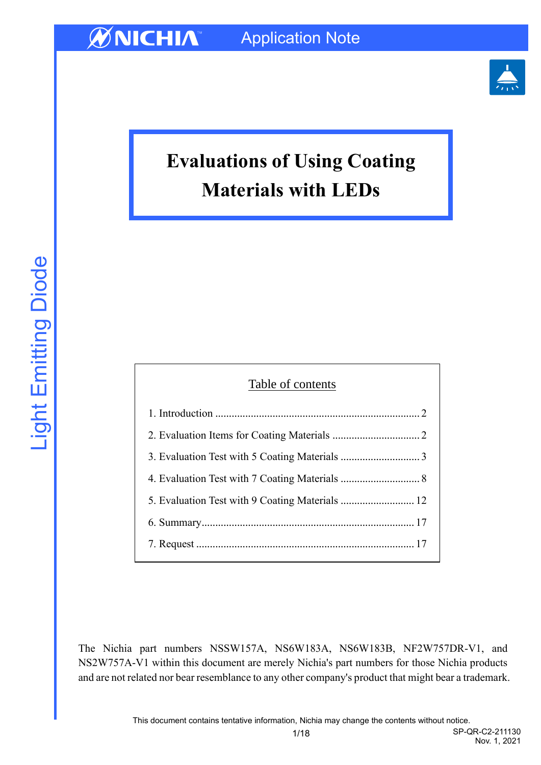

# **Evaluations of Using Coating Materials with LEDs**

| Table of contents |  |  |  |  |
|-------------------|--|--|--|--|
|                   |  |  |  |  |
|                   |  |  |  |  |
|                   |  |  |  |  |
|                   |  |  |  |  |
|                   |  |  |  |  |
|                   |  |  |  |  |
|                   |  |  |  |  |

The Nichia part numbers NSSW157A, NS6W183A, NS6W183B, NF2W757DR-V1, and NS2W757A-V1 within this document are merely Nichia's part numbers for those Nichia products and are not related nor bear resemblance to any other company's product that might bear a trademark.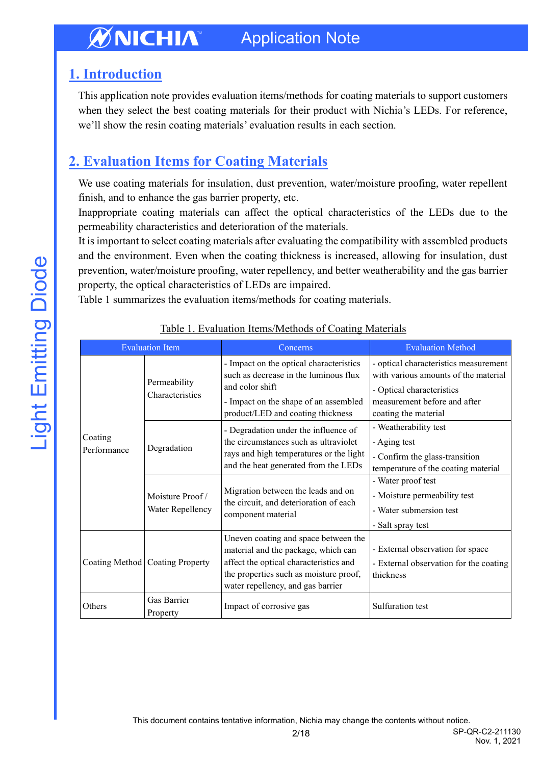## <span id="page-1-0"></span>**1. Introduction**

This application note provides evaluation items/methods for coating materials to support customers when they select the best coating materials for their product with Nichia's LEDs. For reference, we'll show the resin coating materials' evaluation results in each section.

# <span id="page-1-1"></span>**2. Evaluation Items for Coating Materials**

We use coating materials for insulation, dust prevention, water/moisture proofing, water repellent finish, and to enhance the gas barrier property, etc.

Inappropriate coating materials can affect the optical characteristics of the LEDs due to the permeability characteristics and deterioration of the materials.

It is important to select coating materials after evaluating the compatibility with assembled products and the environment. Even when the coating thickness is increased, allowing for insulation, dust prevention, water/moisture proofing, water repellency, and better weatherability and the gas barrier property, the optical characteristics of LEDs are impaired.

Table 1 summarizes the evaluation items/methods for coating materials.

| <b>Evaluation Item</b> |                                     | Concerns                                                                                                                                                                                             | <b>Evaluation Method</b>                                                                                                                                           |
|------------------------|-------------------------------------|------------------------------------------------------------------------------------------------------------------------------------------------------------------------------------------------------|--------------------------------------------------------------------------------------------------------------------------------------------------------------------|
|                        | Permeability<br>Characteristics     | - Impact on the optical characteristics<br>such as decrease in the luminous flux<br>and color shift<br>- Impact on the shape of an assembled<br>product/LED and coating thickness                    | - optical characteristics measurement<br>with various amounts of the material<br>- Optical characteristics<br>measurement before and after<br>coating the material |
| Coating<br>Performance | Degradation                         | - Degradation under the influence of<br>the circumstances such as ultraviolet<br>rays and high temperatures or the light<br>and the heat generated from the LEDs                                     | - Weatherability test<br>- Aging test<br>- Confirm the glass-transition<br>temperature of the coating material                                                     |
|                        | Moisture Proof/<br>Water Repellency | Migration between the leads and on<br>the circuit, and deterioration of each<br>component material                                                                                                   | - Water proof test<br>- Moisture permeability test<br>- Water submersion test<br>- Salt spray test                                                                 |
|                        | Coating Method   Coating Property   | Uneven coating and space between the<br>material and the package, which can<br>affect the optical characteristics and<br>the properties such as moisture proof,<br>water repellency, and gas barrier | - External observation for space<br>- External observation for the coating<br>thickness                                                                            |
| Others                 | Gas Barrier<br>Property             | Impact of corrosive gas                                                                                                                                                                              | Sulfuration test                                                                                                                                                   |

## Table 1. Evaluation Items/Methods of Coating Materials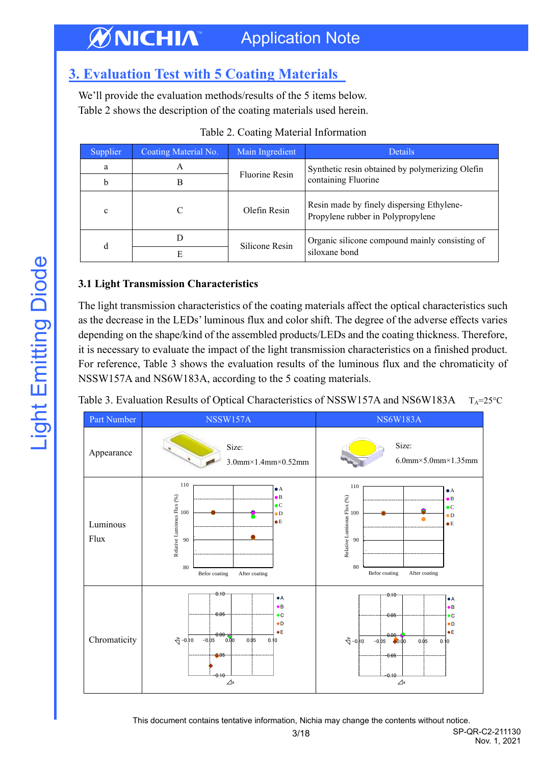# <span id="page-2-0"></span>**3. Evaluation Test with 5 Coating Materials**

We'll provide the evaluation methods/results of the 5 items below. Table 2 shows the description of the coating materials used herein.

| Supplier | Coating Material No. | Main Ingredient       | <b>Details</b>                                                                 |
|----------|----------------------|-----------------------|--------------------------------------------------------------------------------|
| a        | A                    | <b>Fluorine Resin</b> | Synthetic resin obtained by polymerizing Olefin                                |
| b        | B                    |                       | containing Fluorine                                                            |
| c        |                      | Olefin Resin          | Resin made by finely dispersing Ethylene-<br>Propylene rubber in Polypropylene |
|          |                      | Silicone Resin        | Organic silicone compound mainly consisting of                                 |
| d<br>E   | siloxane bond        |                       |                                                                                |

## **3.1 Light Transmission Characteristics**

The light transmission characteristics of the coating materials affect the optical characteristics such as the decrease in the LEDs' luminous flux and color shift. The degree of the adverse effects varies depending on the shape/kind of the assembled products/LEDs and the coating thickness. Therefore, it is necessary to evaluate the impact of the light transmission characteristics on a finished product. For reference, Table 3 shows the evaluation results of the luminous flux and the chromaticity of NSSW157A and NS6W183A, according to the 5 coating materials.

Table 3. Evaluation Results of Optical Characteristics of NSSW157A and NS6W183A  $T_A = 25$ °C

| Part Number      | NSSW157A                                                                                                                                                                                               | <b>NS6W183A</b>                                                                                                                                                                                        |  |
|------------------|--------------------------------------------------------------------------------------------------------------------------------------------------------------------------------------------------------|--------------------------------------------------------------------------------------------------------------------------------------------------------------------------------------------------------|--|
| Appearance       | Size:<br>$3.0$ mm $\times$ 1.4mm $\times$ 0.52mm                                                                                                                                                       | Size:<br>$6.0$ mm×5.0mm×1.35mm                                                                                                                                                                         |  |
| Luminous<br>Flux | 110<br>$\bullet$ A<br>Relative Luminous Flux $\binom{96}{6}$<br>$\approx$<br>$\bullet$ $B$<br>$\bullet$ C<br>$\bullet$ D<br>$\bullet$ E<br>80<br>Befor coating<br>After coating                        | 110<br>$\bullet$ A<br>Relative Luminous Flux (%)<br>$\bullet$ B<br>$\bullet$ C<br>100<br>$\bullet$ D<br>$\bullet$ E<br>90<br>80<br>Befor coating<br>After coating                                      |  |
| Chromaticity     | $0.10 -$<br>$\bullet$ A<br>$\bullet$ B<br>$-0.05$<br>$\bullet$ C<br>$\bullet$ D<br>$\bullet$ E<br>$0.00 -$<br>$\frac{1}{2} - 0.10$<br>0.00<br>$-0.05$<br>0.05<br>0.10<br>0.05<br>$-0.10$<br>$\angle x$ | 0.10<br>$\bullet$ A<br>$\bullet$ B<br>$-0.05$<br>$\bullet$ C<br>$\bullet$ D<br>$\bullet$ E<br>0.00<br>$\sqrt{2} - 0.10$<br>$-0.05$<br>0.00<br>$0.\dot{0}5$<br>0.10<br>$-0.05$<br>$-0.10$<br>$\angle x$ |  |

3/18 SP-QR-C2-211130 This document contains tentative information, Nichia may change the contents without notice.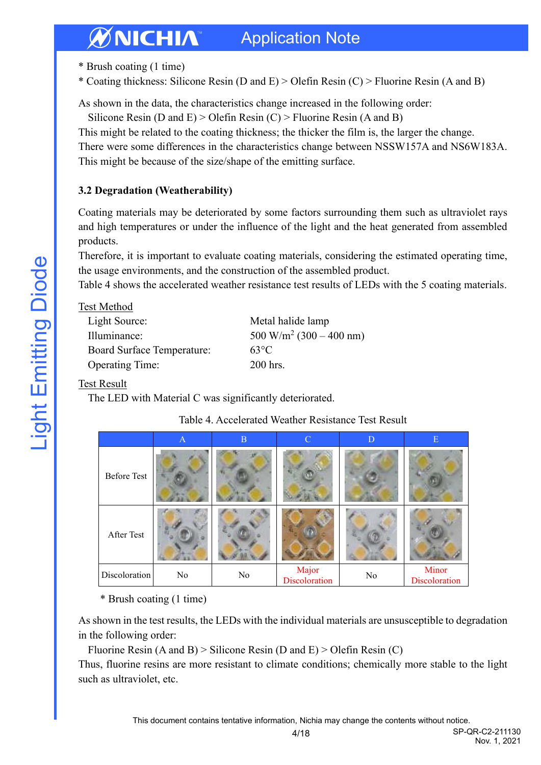\* Brush coating (1 time)

\* Coating thickness: Silicone Resin (D and E) > Olefin Resin (C) > Fluorine Resin (A and B)

As shown in the data, the characteristics change increased in the following order:

Silicone Resin (D and E) > Olefin Resin (C) > Fluorine Resin (A and B)

This might be related to the coating thickness; the thicker the film is, the larger the change.

There were some differences in the characteristics change between NSSW157A and NS6W183A. This might be because of the size/shape of the emitting surface.

## **3.2 Degradation (Weatherability)**

Coating materials may be deteriorated by some factors surrounding them such as ultraviolet rays and high temperatures or under the influence of the light and the heat generated from assembled products.

Therefore, it is important to evaluate coating materials, considering the estimated operating time, the usage environments, and the construction of the assembled product.

Table 4 shows the accelerated weather resistance test results of LEDs with the 5 coating materials.

| Test Method |  |
|-------------|--|
|             |  |

| Light Source:                     | Metal halide lamp                          |
|-----------------------------------|--------------------------------------------|
| Illuminance:                      | $500 \text{ W/m}^2 (300 - 400 \text{ nm})$ |
| <b>Board Surface Temperature:</b> | $63^{\circ}$ C                             |
| <b>Operating Time:</b>            | 200 hrs.                                   |

## Test Result

The LED with Material C was significantly deteriorated.

|                      | $\mathbf{A}$ | $\mathbf{B}$ | $\mathbf C$            | D  | E                      |
|----------------------|--------------|--------------|------------------------|----|------------------------|
| <b>Before Test</b>   |              |              |                        |    |                        |
| After Test           |              |              |                        |    |                        |
| <b>Discoloration</b> | No           | No           | Major<br>Discoloration | No | Minor<br>Discoloration |

## Table 4. Accelerated Weather Resistance Test Result

\* Brush coating (1 time)

As shown in the test results, the LEDs with the individual materials are unsusceptible to degradation in the following order:

Fluorine Resin  $(A \text{ and } B)$  > Silicone Resin  $(D \text{ and } E)$  > Olefin Resin  $(C)$ 

Thus, fluorine resins are more resistant to climate conditions; chemically more stable to the light such as ultraviolet, etc.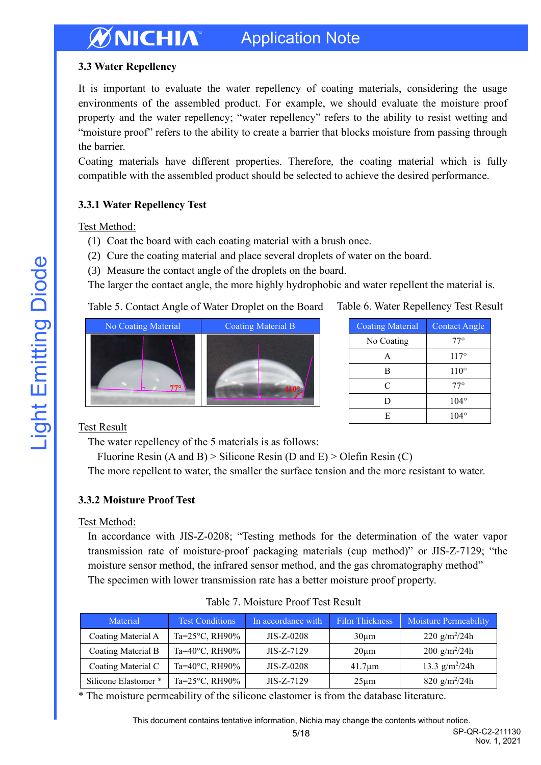## **3.3 Water Repellency**

It is important to evaluate the water repellency of coating materials, considering the usage environments of the assembled product. For example, we should evaluate the moisture proof property and the water repellency; "water repellency" refers to the ability to resist wetting and "moisture proof" refers to the ability to create a barrier that blocks moisture from passing through the barrier.

Coating materials have different properties. Therefore, the coating material which is fully compatible with the assembled product should be selected to achieve the desired performance.

### **3.3.1 Water Repellency Test**

#### Test Method:

- (1) Coat the board with each coating material with a brush once.
- (2) Cure the coating material and place several droplets of water on the board.
- (3) Measure the contact angle of the droplets on the board.

The larger the contact angle, the more highly hydrophobic and water repellent the material is.

### Table 5. Contact Angle of Water Droplet on the Board



#### Table 6. Water Repellency Test Result

| <b>Coating Material</b> | <b>Contact Angle</b> |
|-------------------------|----------------------|
| No Coating              | $77^{\circ}$         |
| A                       | $117^\circ$          |
| R                       | $110^{\circ}$        |
| C                       | $77^{\circ}$         |
| נ ו                     | $104^\circ$          |
| E                       | $104^\circ$          |

## Test Result

The water repellency of the 5 materials is as follows:

Fluorine Resin  $(A \text{ and } B)$  > Silicone Resin  $(D \text{ and } E)$  > Olefin Resin  $(C)$ 

The more repellent to water, the smaller the surface tension and the more resistant to water.

#### **3.3.2 Moisture Proof Test**

#### Test Method:

In accordance with JIS-Z-0208; "Testing methods for the determination of the water vapor transmission rate of moisture-proof packaging materials (cup method)" or JIS-Z-7129; "the moisture sensor method, the infrared sensor method, and the gas chromatography method" The specimen with lower transmission rate has a better moisture proof property.

| Material             | <b>Test Conditions</b>    | In accordance with | Film Thickness | <b>Moisture Permeability</b> |
|----------------------|---------------------------|--------------------|----------------|------------------------------|
| Coating Material A   | Ta= $25^{\circ}$ C, RH90% | $JIS-Z-0208$       | $30 \mu m$     | 220 g/m <sup>2</sup> /24h    |
| Coating Material B   | Ta=40°C, RH90%            | $JIS-Z-7129$       | $20 \mu m$     | $200 g/m^2/24h$              |
| Coating Material C   | Ta=40°C, RH90%            | $JIS-Z-0208$       | $41.7 \mu m$   | 13.3 $g/m^2/24h$             |
| Silicone Elastomer * | Ta= $25^{\circ}$ C, RH90% | $JIS-Z-7129$       | $25 \mu m$     | 820 g/m <sup>2</sup> /24h    |

\* The moisture permeability of the silicone elastomer is from the database literature.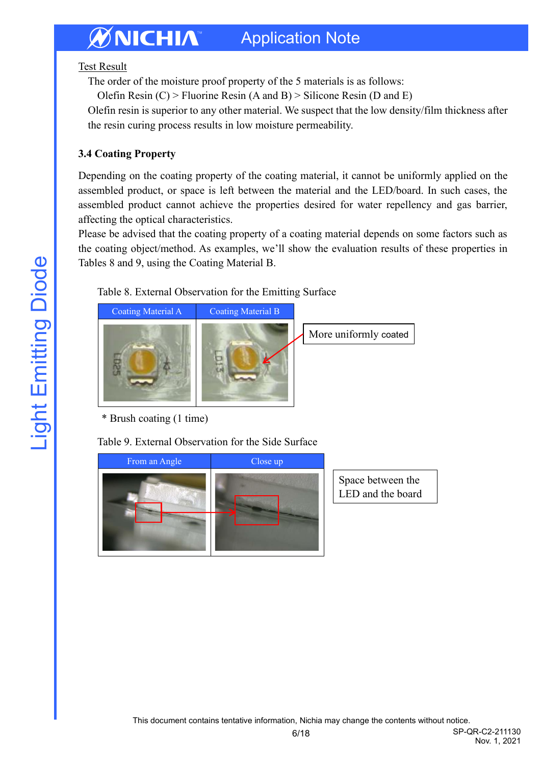Test Result

The order of the moisture proof property of the 5 materials is as follows:

Olefin Resin  $(C)$  > Fluorine Resin  $(A \text{ and } B)$  > Silicone Resin  $(D \text{ and } E)$ 

Olefin resin is superior to any other material. We suspect that the low density/film thickness after the resin curing process results in low moisture permeability.

## **3.4 Coating Property**

Depending on the coating property of the coating material, it cannot be uniformly applied on the assembled product, or space is left between the material and the LED/board. In such cases, the assembled product cannot achieve the properties desired for water repellency and gas barrier, affecting the optical characteristics.

Please be advised that the coating property of a coating material depends on some factors such as the coating object/method. As examples, we'll show the evaluation results of these properties in Tables 8 and 9, using the Coating Material B.

Table 8. External Observation for the Emitting Surface



More uniformly coated

\* Brush coating (1 time)

Table 9. External Observation for the Side Surface



Space between the LED and the board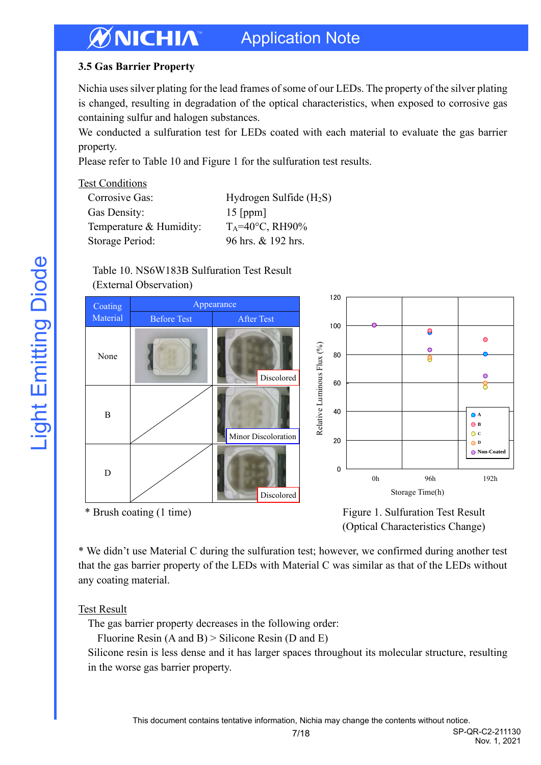## **3.5 Gas Barrier Property**

Nichia uses silver plating for the lead frames of some of our LEDs. The property of the silver plating is changed, resulting in degradation of the optical characteristics, when exposed to corrosive gas containing sulfur and halogen substances.

We conducted a sulfuration test for LEDs coated with each material to evaluate the gas barrier property.

Please refer to Table 10 and Figure 1 for the sulfuration test results.

#### Test Conditions

| Hydrogen Sulfide $(H_2S)$ |
|---------------------------|
| $15$ [ppm]                |
| $T_A = 40$ °C, RH90%      |
| 96 hrs. & 192 hrs.        |
|                           |

#### Table 10. NS6W183B Sulfuration Test Result (External Observation)



(Optical Characteristics Change)

\* We didn't use Material C during the sulfuration test; however, we confirmed during another test that the gas barrier property of the LEDs with Material C was similar as that of the LEDs without any coating material.

## Test Result

The gas barrier property decreases in the following order:

Fluorine Resin (A and B) > Silicone Resin (D and E)

Silicone resin is less dense and it has larger spaces throughout its molecular structure, resulting in the worse gas barrier property.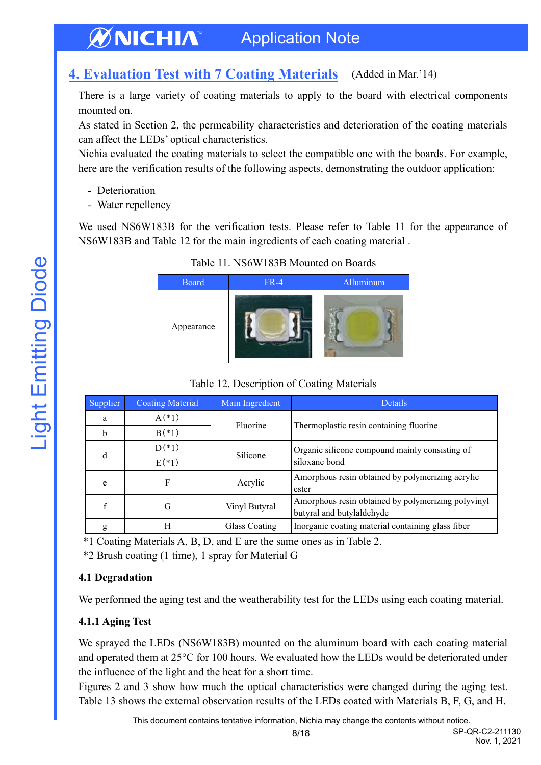#### <span id="page-7-0"></span>**4. Evaluation Test with 7 Coating Materials** (Added in Mar.'14)

There is a large variety of coating materials to apply to the board with electrical components mounted on.

As stated in Section 2, the permeability characteristics and deterioration of the coating materials can affect the LEDs' optical characteristics.

Nichia evaluated the coating materials to select the compatible one with the boards. For example, here are the verification results of the following aspects, demonstrating the outdoor application:

- Deterioration
- Water repellency

We used NS6W183B for the verification tests. Please refer to Table 11 for the appearance of NS6W183B and Table 12 for the main ingredients of each coating material .

| <b>Board</b> | $FR-4$ | Alluminum |
|--------------|--------|-----------|
| Appearance   |        |           |

### Table 11. NS6W183B Mounted on Boards

| Supplier | <b>Coating Material</b> | Main Ingredient | Details                                                                         |
|----------|-------------------------|-----------------|---------------------------------------------------------------------------------|
| a        | $A(*)$                  | Fluorine        |                                                                                 |
| b        | $B(*)$                  |                 | Thermoplastic resin containing fluorine                                         |
|          | $D(*)$                  |                 | Organic silicone compound mainly consisting of                                  |
| d        | $E(*1)$                 | Silicone        | siloxane bond                                                                   |
| e        | F                       | Acrylic         | Amorphous resin obtained by polymerizing acrylic<br>ester                       |
| f        | G                       | Vinyl Butyral   | Amorphous resin obtained by polymerizing polyvinyl<br>butyral and butylaldehyde |
| g        | H                       | Glass Coating   | Inorganic coating material containing glass fiber                               |

#### Table 12. Description of Coating Materials

\*1 Coating Materials A, B, D, and E are the same ones as in Table 2.

\*2 Brush coating (1 time), 1 spray for Material G

## **4.1 Degradation**

We performed the aging test and the weatherability test for the LEDs using each coating material.

## **4.1.1 Aging Test**

We sprayed the LEDs (NS6W183B) mounted on the aluminum board with each coating material and operated them at 25°C for 100 hours. We evaluated how the LEDs would be deteriorated under the influence of the light and the heat for a short time.

Figures 2 and 3 show how much the optical characteristics were changed during the aging test. Table 13 shows the external observation results of the LEDs coated with Materials B, F, G, and H.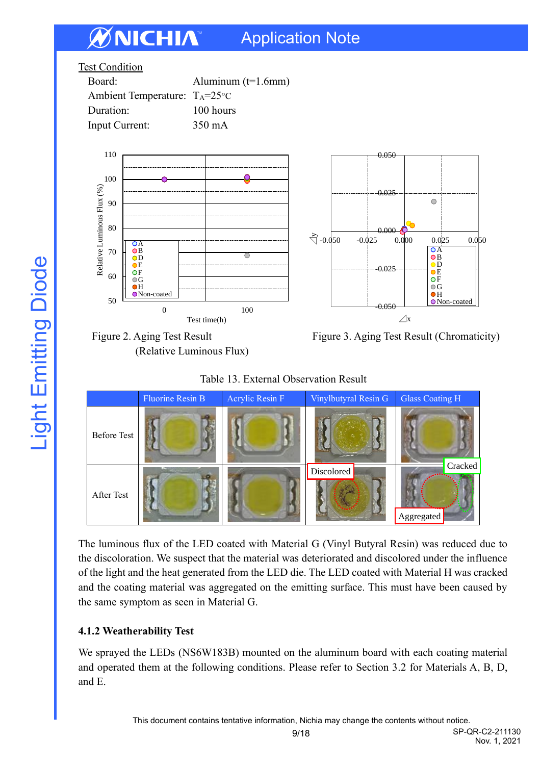





**OA** B **OD OE**  $\overline{\text{OF}}$  $\bigcirc$  G  $\bullet$ H O<sub>Non-coated</sub>

 $\circ$ 





The luminous flux of the LED coated with Material G (Vinyl Butyral Resin) was reduced due to the discoloration. We suspect that the material was deteriorated and discolored under the influence of the light and the heat generated from the LED die. The LED coated with Material H was cracked and the coating material was aggregated on the emitting surface. This must have been caused by the same symptom as seen in Material G.

## **4.1.2 Weatherability Test**

We sprayed the LEDs (NS6W183B) mounted on the aluminum board with each coating material and operated them at the following conditions. Please refer to Section 3.2 for Materials A, B, D, and E.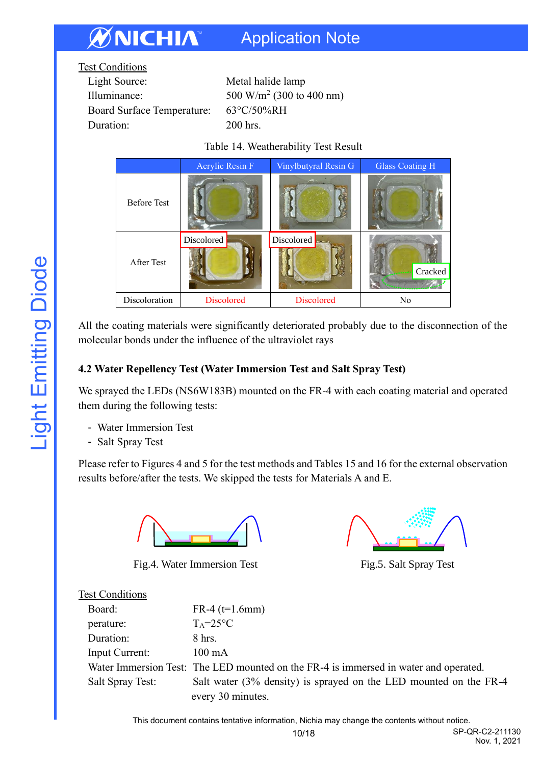| <b>Test Conditions</b>            |                                      |
|-----------------------------------|--------------------------------------|
| Light Source:                     | Metal halide lamp                    |
| Illuminance:                      | 500 W/m <sup>2</sup> (300 to 400 nm) |
| <b>Board Surface Temperature:</b> | 63°C/50%RH                           |
| Duration:                         | $200$ hrs.                           |
|                                   |                                      |

Table 14. Weatherability Test Result

|                    | Acrylic Resin F   | Vinylbutyral Resin G | <b>Glass Coating H</b> |
|--------------------|-------------------|----------------------|------------------------|
| <b>Before Test</b> |                   |                      |                        |
| After Test         | Discolored        | Discolored           | Cracked                |
| Discoloration      | <b>Discolored</b> | Discolored           | No                     |

All the coating materials were significantly deteriorated probably due to the disconnection of the molecular bonds under the influence of the ultraviolet rays

## **4.2 Water Repellency Test (Water Immersion Test and Salt Spray Test)**

We sprayed the LEDs (NS6W183B) mounted on the FR-4 with each coating material and operated them during the following tests:

- Water Immersion Test
- Salt Spray Test

Please refer to Figures 4 and 5 for the test methods and Tables 15 and 16 for the external observation results before/after the tests. We skipped the tests for Materials A and E.



Fig.4. Water Immersion Test Fig.5. Salt Spray Test



## Test Conditions

| Board:           | $FR-4$ (t=1.6mm)                                                                     |
|------------------|--------------------------------------------------------------------------------------|
| perature:        | $T_A = 25$ °C                                                                        |
| Duration:        | $8$ hrs.                                                                             |
| Input Current:   | $100 \text{ mA}$                                                                     |
|                  | Water Immersion Test: The LED mounted on the FR-4 is immersed in water and operated. |
| Salt Spray Test: | Salt water (3% density) is sprayed on the LED mounted on the FR-4                    |
|                  | every 30 minutes.                                                                    |

This document contains tentative information, Nichia may change the contents without notice.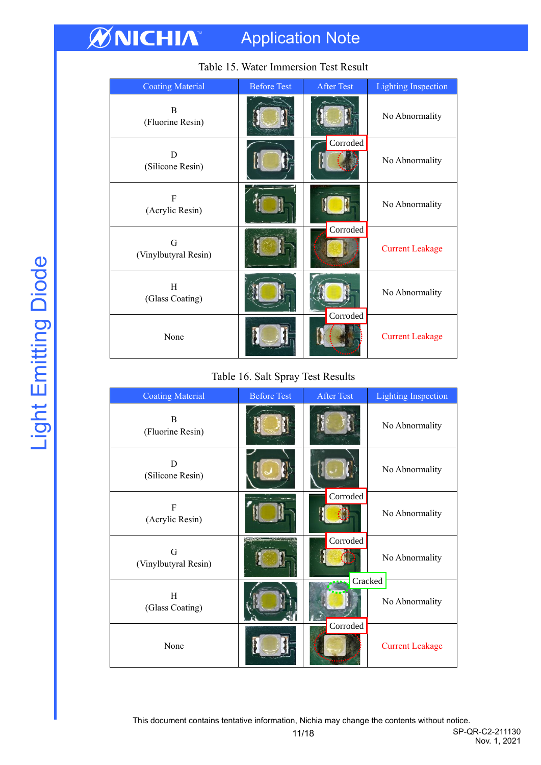| <b>Coating Material</b>   | <b>Before Test</b> | <b>After Test</b> | <b>Lighting Inspection</b> |
|---------------------------|--------------------|-------------------|----------------------------|
| B<br>(Fluorine Resin)     |                    |                   | No Abnormality             |
| D<br>(Silicone Resin)     |                    | Corroded          | No Abnormality             |
| F<br>(Acrylic Resin)      |                    |                   | No Abnormality             |
| G<br>(Vinylbutyral Resin) |                    | Corroded          | <b>Current Leakage</b>     |
| H<br>(Glass Coating)      |                    |                   | No Abnormality             |
| None                      |                    | Corroded          | <b>Current Leakage</b>     |

## Table 15. Water Immersion Test Result

#### Table 16. Salt Spray Test Results

| <b>Coating Material</b>   | <b>Before Test</b> | <b>After Test</b> | <b>Lighting Inspection</b> |
|---------------------------|--------------------|-------------------|----------------------------|
| B<br>(Fluorine Resin)     |                    |                   | No Abnormality             |
| Ð<br>(Silicone Resin)     |                    |                   | No Abnormality             |
| F<br>(Acrylic Resin)      |                    | Corroded          | No Abnormality             |
| G<br>(Vinylbutyral Resin) |                    | Corroded          | No Abnormality             |
| H<br>(Glass Coating)      |                    |                   | Cracked<br>No Abnormality  |
| None                      |                    | Corroded          | <b>Current Leakage</b>     |

This document contains tentative information, Nichia may change the contents without notice.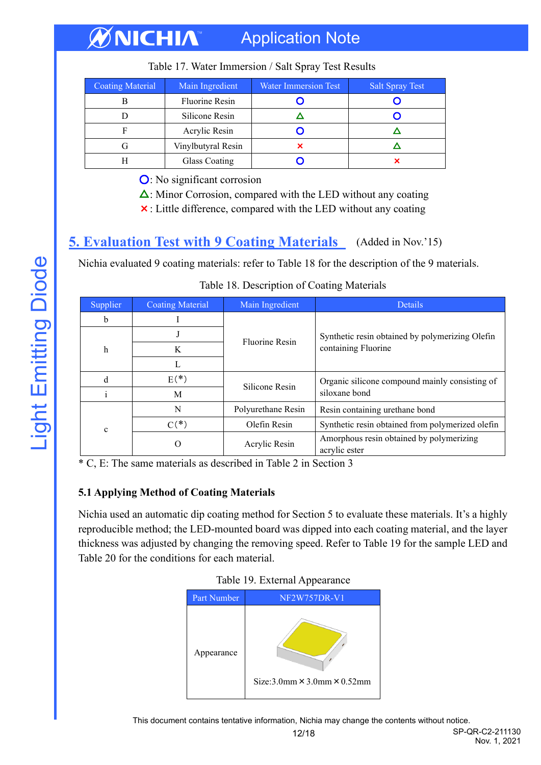| Coating Material | Main Ingredient       | <b>Water Immersion Test</b> | <b>Salt Spray Test</b> |
|------------------|-----------------------|-----------------------------|------------------------|
|                  | <b>Fluorine Resin</b> |                             |                        |
|                  | Silicone Resin        |                             |                        |
|                  | Acrylic Resin         |                             |                        |
|                  | Vinylbutyral Resin    |                             |                        |
|                  | Glass Coating         |                             |                        |

Table 17. Water Immersion / Salt Spray Test Results

○: No significant corrosion

 $\Delta$ : Minor Corrosion, compared with the LED without any coating

×: Little difference, compared with the LED without any coating

## <span id="page-11-0"></span>**5. Evaluation Test with 9 Coating Materials** (Added in Nov.'15)

Nichia evaluated 9 coating materials: refer to Table 18 for the description of the 9 materials.

| Supplier    | <b>Coating Material</b> | Main Ingredient       | <b>Details</b>                                            |
|-------------|-------------------------|-----------------------|-----------------------------------------------------------|
| h           |                         |                       |                                                           |
|             |                         | <b>Fluorine Resin</b> | Synthetic resin obtained by polymerizing Olefin           |
| h           | K                       |                       | containing Fluorine                                       |
|             |                         |                       |                                                           |
| d           | $E(*)$                  | Silicone Resin        | Organic silicone compound mainly consisting of            |
|             | M                       |                       | siloxane bond                                             |
|             | N                       | Polyurethane Resin    | Resin containing urethane bond                            |
| $\mathbf c$ | $C(*)$                  | Olefin Resin          | Synthetic resin obtained from polymerized olefin          |
|             | O                       | Acrylic Resin         | Amorphous resin obtained by polymerizing<br>acrylic ester |

Table 18. Description of Coating Materials

\* C, E: The same materials as described in Table 2 in Section 3

## **5.1 Applying Method of Coating Materials**

Nichia used an automatic dip coating method for Section 5 to evaluate these materials. It's a highly reproducible method; the LED-mounted board was dipped into each coating material, and the layer thickness was adjusted by changing the removing speed. Refer to Table 19 for the sample LED and Table 20 for the conditions for each material.



Table 19. External Appearance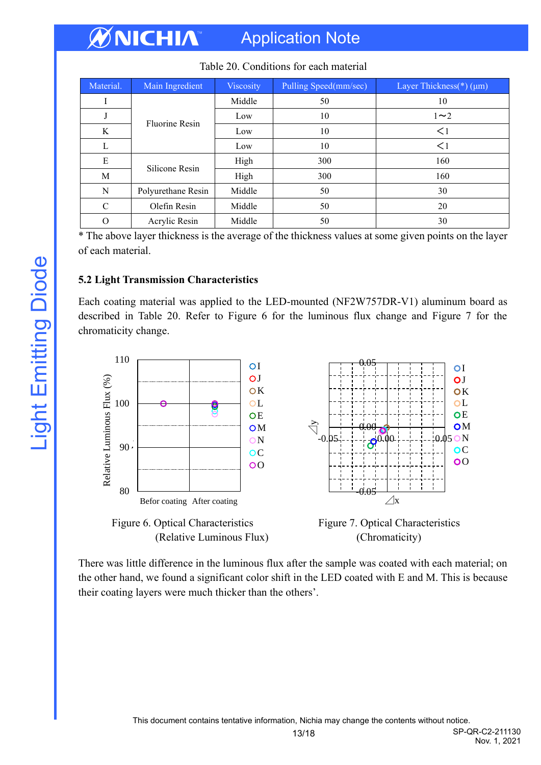| Material. | Main Ingredient       | <b>Viscosity</b> | Pulling Speed(mm/sec) | Layer Thickness(*) (µm) |
|-----------|-----------------------|------------------|-----------------------|-------------------------|
| 1         |                       | Middle           | 50                    | 10                      |
| J         | <b>Fluorine Resin</b> | Low              | 10                    | $1\sim2$                |
| K         |                       | Low              | 10                    | $\leq$ 1                |
| L         |                       | Low              | 10                    | $\leq$ 1                |
| E         | Silicone Resin        | High             | 300                   | 160                     |
| M         |                       | High             | 300                   | 160                     |
| N         | Polyurethane Resin    | Middle           | 50                    | 30                      |
| C         | Olefin Resin          | Middle           | 50                    | 20                      |
| $\Omega$  | Acrylic Resin         | Middle           | 50                    | 30                      |

#### Table 20. Conditions for each material

\* The above layer thickness is the average of the thickness values at some given points on the layer of each material.

#### **5.2 Light Transmission Characteristics**

Each coating material was applied to the LED-mounted (NF2W757DR-V1) aluminum board as described in Table 20. Refer to Figure 6 for the luminous flux change and Figure 7 for the chromaticity change.







Nov. 1, 2021

There was little difference in the luminous flux after the sample was coated with each material; on the other hand, we found a significant color shift in the LED coated with E and M. This is because their coating layers were much thicker than the others'.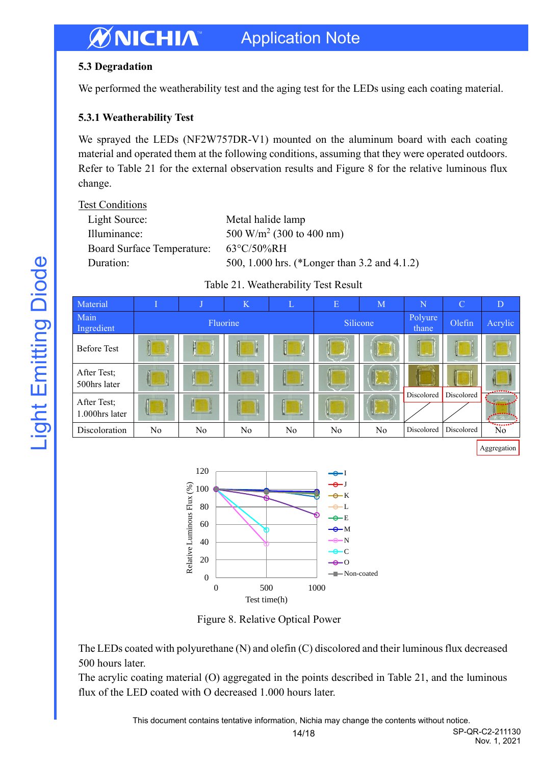## **5.3 Degradation**

We performed the weatherability test and the aging test for the LEDs using each coating material.

## **5.3.1 Weatherability Test**

We sprayed the LEDs (NF2W757DR-V1) mounted on the aluminum board with each coating material and operated them at the following conditions, assuming that they were operated outdoors. Refer to Table 21 for the external observation results and Figure 8 for the relative luminous flux change.

| <b>Test Conditions</b> |
|------------------------|
|                        |

| Metal halide lamp                            |
|----------------------------------------------|
| 500 W/m <sup>2</sup> (300 to 400 nm)         |
| $63^{\circ}$ C/50%RH                         |
| 500, 1.000 hrs. (*Longer than 3.2 and 4.1.2) |
|                                              |



Table 21. Weatherability Test Result

Figure 8. Relative Optical Power

Test time(h)

The LEDs coated with polyurethane (N) and olefin (C) discolored and their luminous flux decreased 500 hours later.

The acrylic coating material (O) aggregated in the points described in Table 21, and the luminous flux of the LED coated with O decreased 1.000 hours later.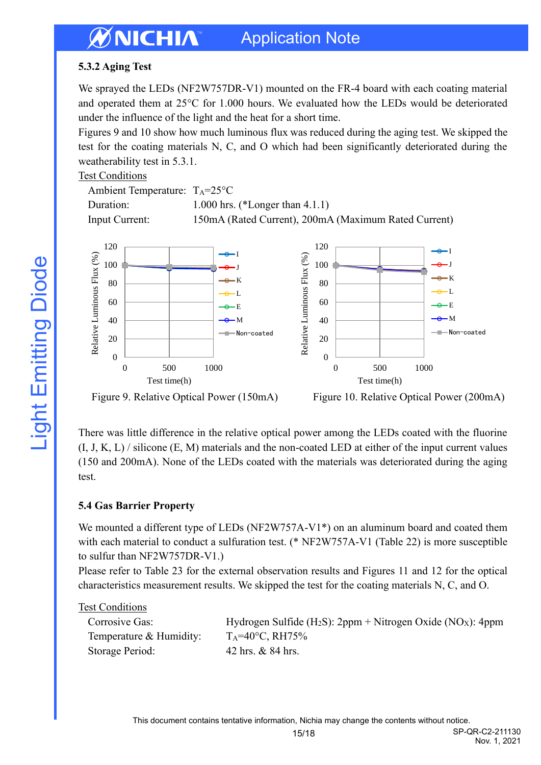## **5.3.2 Aging Test**

We sprayed the LEDs (NF2W757DR-V1) mounted on the FR-4 board with each coating material and operated them at 25°C for 1.000 hours. We evaluated how the LEDs would be deteriorated under the influence of the light and the heat for a short time.

Figures 9 and 10 show how much luminous flux was reduced during the aging test. We skipped the test for the coating materials N, C, and O which had been significantly deteriorated during the weatherability test in 5.3.1.

## Test Conditions

| Ambient Temperature: $T_A = 25^{\circ}C$ |                                                      |
|------------------------------------------|------------------------------------------------------|
| Duration:                                | 1.000 hrs. (*Longer than $4.1.1$ )                   |
| Input Current:                           | 150mA (Rated Current), 200mA (Maximum Rated Current) |



Figure 9. Relative Optical Power (150mA) Figure 10. Relative Optical Power (200mA)

Nov. 1, 2021

There was little difference in the relative optical power among the LEDs coated with the fluorine  $(I, J, K, L)$  / silicone  $(E, M)$  materials and the non-coated LED at either of the input current values (150 and 200mA). None of the LEDs coated with the materials was deteriorated during the aging test.

## **5.4 Gas Barrier Property**

We mounted a different type of LEDs (NF2W757A-V1\*) on an aluminum board and coated them with each material to conduct a sulfuration test. (\* NF2W757A-V1 (Table 22) is more susceptible to sulfur than NF2W757DR-V1.)

Please refer to Table 23 for the external observation results and Figures 11 and 12 for the optical characteristics measurement results. We skipped the test for the coating materials N, C, and O.

#### Test Conditions

| Corrosive Gas:          | Hydrogen Sulfide (H <sub>2</sub> S): $2ppm + Nitrogen Oxide (NOX)$ : 4ppm |
|-------------------------|---------------------------------------------------------------------------|
| Temperature & Humidity: | $T_A = 40^{\circ}$ C, RH $75\%$                                           |
| Storage Period:         | 42 hrs. & 84 hrs.                                                         |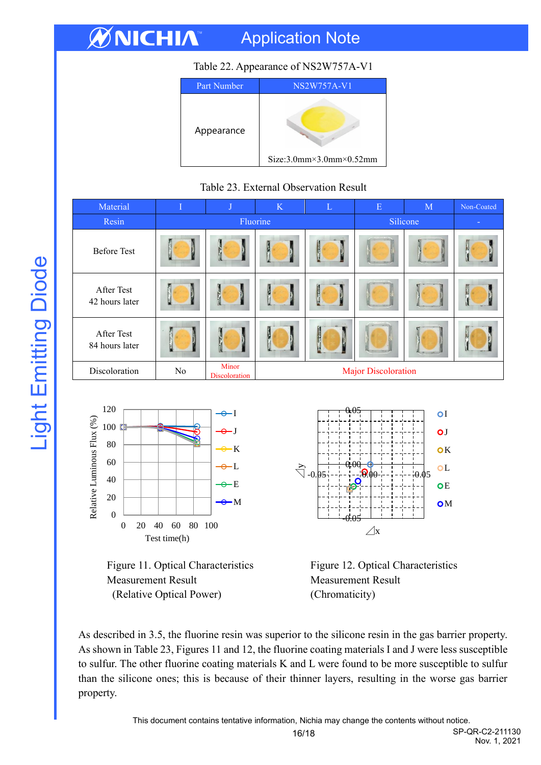# ØNICHIA

# Application Note

## Table 22. Appearance of NS2W757A-V1

| Part Number | NS2W757A-V1                             |  |  |  |  |
|-------------|-----------------------------------------|--|--|--|--|
| Appearance  | $Size:3.0mm \times 3.0mm \times 0.52mm$ |  |  |  |  |

### Table 23. External Observation Result

| Material                     | T  | J                      | $\rm K$                    | L | E        | $\mathbf{M}$ | Non-Coated |
|------------------------------|----|------------------------|----------------------------|---|----------|--------------|------------|
| Resin                        |    | Fluorine               |                            |   | Silicone | $\sim$       |            |
| <b>Before Test</b>           |    |                        |                            |   |          |              |            |
| After Test<br>42 hours later |    | <b>STEP</b>            |                            |   |          |              | M          |
| After Test<br>84 hours later |    |                        |                            | Ņ |          |              |            |
| Discoloration                | No | Minor<br>Discoloration | <b>Major Discoloration</b> |   |          |              |            |





 $0.05$ 

I





As described in 3.5, the fluorine resin was superior to the silicone resin in the gas barrier property. As shown in Table 23, Figures 11 and 12, the fluorine coating materials I and J were less susceptible to sulfur. The other fluorine coating materials K and L were found to be more susceptible to sulfur than the silicone ones; this is because of their thinner layers, resulting in the worse gas barrier property.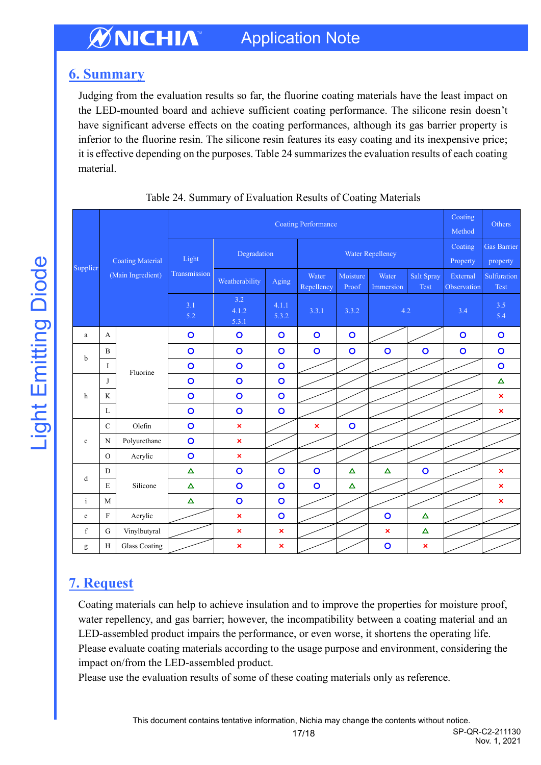# <span id="page-16-0"></span>**6. Summary**

Judging from the evaluation results so far, the fluorine coating materials have the least impact on the LED-mounted board and achieve sufficient coating performance. The silicone resin doesn't have significant adverse effects on the coating performances, although its gas barrier property is inferior to the fluorine resin. The silicone resin features its easy coating and its inexpensive price; it is effective depending on the purposes. Table 24 summarizes the evaluation results of each coating material.

|              |                               |                         | <b>Coating Performance</b> |                           |                |                     |                   |                    |                       | Coating<br>Method       | Others                         |
|--------------|-------------------------------|-------------------------|----------------------------|---------------------------|----------------|---------------------|-------------------|--------------------|-----------------------|-------------------------|--------------------------------|
|              |                               | <b>Coating Material</b> | Light                      | Degradation               |                | Water Repellency    |                   |                    |                       | Coating<br>Property     | <b>Gas Barrier</b><br>property |
|              | Supplier<br>(Main Ingredient) |                         | Transmission               | Weatherability            | Aging          | Water<br>Repellency | Moisture<br>Proof | Water<br>Immersion | Salt Spray<br>Test    | External<br>Observation | Sulfuration<br><b>Test</b>     |
|              |                               | 3.1<br>5.2              | 3.2<br>4.1.2<br>5.3.1      | 4.1.1<br>5.3.2            | 3.3.1          | 3.3.2               | 4.2               |                    | 3.4                   | 3.5<br>5.4              |                                |
| $\rm{a}$     | A                             |                         | $\mathbf{o}$               | $\circ$                   | $\circ$        | $\circ$             | $\circ$           |                    |                       | $\bullet$               | $\circ$                        |
| $\mathbf b$  | $\mathbf{B}$                  |                         | $\bullet$                  | $\circ$                   | $\circ$        | $\overline{O}$      | $\circ$           | $\circ$            | $\bullet$             | $\bullet$               | $\circ$                        |
|              | I                             | Fluorine                | $\bullet$                  | $\circ$                   | $\circ$        |                     |                   |                    |                       |                         | $\overline{O}$                 |
|              | J                             |                         | $\overline{O}$             | $\circ$                   | $\overline{O}$ |                     |                   |                    |                       |                         | $\Delta$                       |
| h            | K                             |                         | $\bullet$                  | $\circ$                   | $\circ$        |                     |                   |                    |                       |                         | $\pmb{\times}$                 |
|              | $\mathbf L$                   |                         | $\overline{O}$             | $\circ$                   | $\circ$        |                     |                   |                    |                       |                         | $\pmb{\times}$                 |
|              | $\mathbf C$                   | Olefin                  | $\bullet$                  | $\pmb{\times}$            |                | $\pmb{\times}$      | $\circ$           |                    |                       |                         |                                |
| $\mathbf c$  | N                             | Polyurethane            | $\circ$                    | $\boldsymbol{\mathsf{x}}$ |                |                     |                   |                    |                       |                         |                                |
|              | $\mathcal{O}$                 | Acrylic                 | $\bullet$                  | $\boldsymbol{\mathsf{x}}$ |                |                     |                   |                    |                       |                         |                                |
| d            | D                             |                         | $\Delta$                   | $\circ$                   | $\circ$        | $\overline{O}$      | $\Delta$          | Δ                  | $\overline{O}$        |                         | ×                              |
|              | $\mathbf E$<br>Silicone       | $\Delta$                | $\circ$                    | $\circ$                   | $\overline{O}$ | $\Delta$            |                   |                    |                       | $\pmb{\times}$          |                                |
| $\mathbf{i}$ | M                             |                         | $\Delta$                   | $\circ$                   | $\circ$        |                     |                   |                    |                       |                         | $\boldsymbol{\mathsf{x}}$      |
| $\mathbf e$  | $\rm F$                       | Acrylic                 |                            | $\boldsymbol{\mathsf{x}}$ | $\circ$        |                     |                   | $\circ$            | $\Delta$              |                         |                                |
| $\mathbf f$  | $\mathbf G$                   | Vinylbutyral            |                            | $\pmb{\times}$            | $\pmb{\times}$ |                     |                   | $\pmb{\times}$     | $\boldsymbol{\Delta}$ |                         |                                |
| g            | $\rm H$                       | <b>Glass Coating</b>    |                            | $\boldsymbol{\mathsf{x}}$ | $\pmb{\times}$ |                     |                   | $\mathbf{o}$       | $\pmb{\times}$        |                         |                                |

|  | Table 24. Summary of Evaluation Results of Coating Materials |  |  |
|--|--------------------------------------------------------------|--|--|
|  |                                                              |  |  |

# <span id="page-16-1"></span>**7. Request**

Coating materials can help to achieve insulation and to improve the properties for moisture proof, water repellency, and gas barrier; however, the incompatibility between a coating material and an LED-assembled product impairs the performance, or even worse, it shortens the operating life. Please evaluate coating materials according to the usage purpose and environment, considering the impact on/from the LED-assembled product.

Please use the evaluation results of some of these coating materials only as reference.